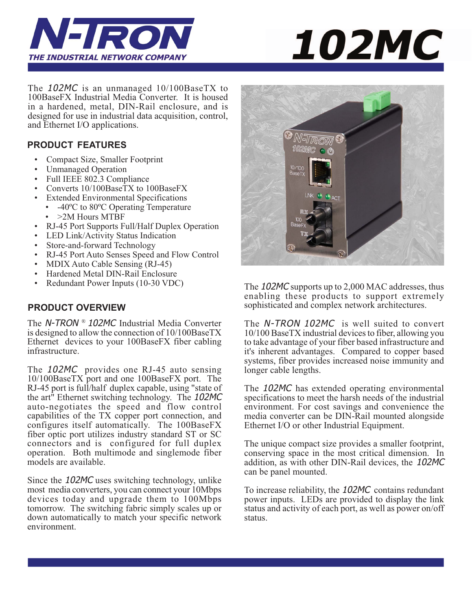



The 102MC is an unmanaged 10/100BaseTX to 100BaseFX Industrial Media Converter. It is housed in a hardened, metal, DIN-Rail enclosure, and is designed for use in industrial data acquisition, control, and Ethernet I/O applications.

#### **PRODUCT FEATURES**

- Compact Size, Smaller Footprint
- Unmanaged Operation
- Full IEEE 802.3 Compliance
- Converts 10/100BaseTX to 100BaseFX
- Extended Environmental Specifications
	- -40°C to 80°C Operating Temperature • > 2M Hours MTBF
- RJ-45 Port Supports Full/Half Duplex Operation
- LED Link/Activity Status Indication
- Store-and-forward Technology
- RJ-45 Port Auto Senses Speed and Flow Control
- MDIX Auto Cable Sensing (RJ-45)
- Hardened Metal DIN-Rail Enclosure
- Redundant Power Inputs (10-30 VDC)

#### **PRODUCT OVERVIEW**

The N-TRON ® 102MC Industrial Media Converter is designed to allow the connection of 10/100BaseTX Ethernet devices to your 100BaseFX fiber cabling infrastructure.

The 102MC provides one RJ-45 auto sensing 10/100BaseTX port and one 100BaseFX port. The RJ-45 port is full/half duplex capable, using "state of the art" Ethernet switching technology. The 102MC auto-negotiates the speed and flow control capabilities of the TX copper port connection, and configures itself automatically. The 100BaseFX fiber optic port utilizes industry standard ST or SC connectors and is configured for full duplex operation. Both multimode and singlemode fiber models are available.

Since the 102MC uses switching technology, unlike most media converters, you can connect your 10Mbps devices today and upgrade them to 100Mbps tomorrow. The switching fabric simply scales up or down automatically to match your specific network environment.



The 102MC supports up to 2,000 MAC addresses, thus enabling these products to support extremely sophisticated and complex network architectures.

The N-TRON 102MC is well suited to convert 10/100 BaseTX industrial devices to fiber, allowing you to take advantage of your fiber based infrastructure and it's inherent advantages. Compared to copper based systems, fiber provides increased noise immunity and longer cable lengths.

The 102MC has extended operating environmental specifications to meet the harsh needs of the industrial environment. For cost savings and convenience the media converter can be DIN-Rail mounted alongside Ethernet I/O or other Industrial Equipment.

The unique compact size provides a smaller footprint, conserving space in the most critical dimension. In addition, as with other DIN-Rail devices, the 102MC can be panel mounted.

To increase reliability, the 102MC contains redundant power inputs. LEDs are provided to display the link status and activity of each port, as well as power on/off status.